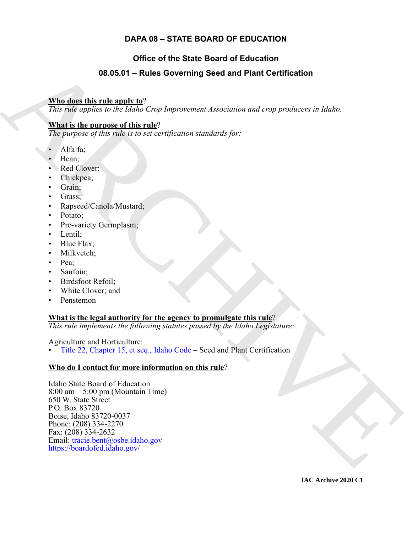#### **DAPA 08 – STATE BOARD OF EDUCATION**

### **Office of the State Board of Education**

#### **08.05.01 – Rules Governing Seed and Plant Certification**

#### **Who does this rule apply to**?

*This rule applies to the Idaho Crop Improvement Association and crop producers in Idaho.*

#### **What is the purpose of this rule**?

*The purpose of this rule is to set certification standards for:*

- Alfalfa;
- Bean;
- Red Clover;
- Chickpea;
- Grain;
- Grass;
- Rapseed/Canola/Mustard;
- Potato;
- Pre-variety Germplasm;
- Lentil;
- Blue Flax:
- Milkvetch;
- Pea;
- Sanfoin;
- Birdsfoot Refoil;
- White Clover; and
- Penstemon

#### **What is the legal authority for the agency to promulgate this rule**?

*This rule implements the following statutes passed by the Idaho Legislature:*

#### Agriculture and Horticulture:

• Title 22, Chapter 15, et seq., Idaho Code – Seed and Plant Certification

#### **Who do I contact for more information on this rule**?

<span id="page-0-0"></span>**98.05.04 – Rules Governing Seed and Plant Certification**<br>
This disc this rule and v  $\Omega^2$ <br>
This ratio and is the Idaho Coop Importanean Association and error producers in Idaho.<br>
What is the number of this ratio  $\Omega$  co Idaho State Board of Education 8:00 am – 5:00 pm (Mountain Time) 650 W. State Street P.O. Box 83720 Boise, Idaho 83720-0037 Phone: (208) 334-2270 Fax: (208) 334-2632 Email: tracie.bent@osbe.idaho.gov https://boardofed.idaho.gov/

**IAC Archive 2020 C1**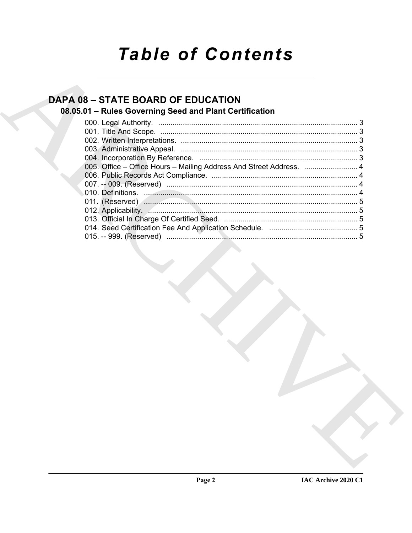# **Table of Contents**

## **DAPA 08 - STATE BOARD OF EDUCATION**

### 08.05.01 - Rules Governing Seed and Plant Certification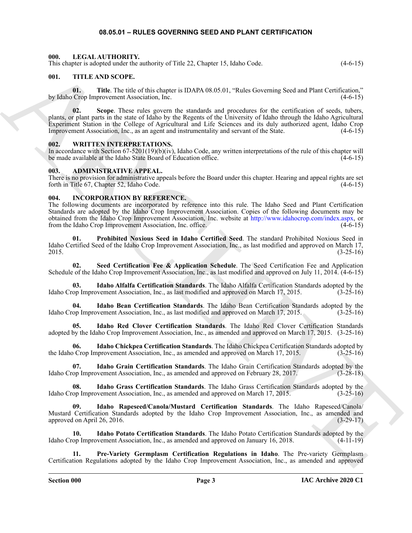#### **08.05.01 – RULES GOVERNING SEED AND PLANT CERTIFICATION**

#### <span id="page-2-19"></span><span id="page-2-1"></span><span id="page-2-0"></span>**000. LEGAL AUTHORITY.**

This chapter is adopted under the authority of Title 22, Chapter 15, Idaho Code. (4-6-15)

#### <span id="page-2-20"></span><span id="page-2-2"></span>**001. TITLE AND SCOPE.**

**01.** Title. The title of this chapter is IDAPA 08.05.01, "Rules Governing Seed and Plant Certification," by Idaho Crop Improvement Association, Inc. (4-6-15)

This department is between the continuous of This 22, Chapter 13, below Cover in g Section of First Correlation (1971). We have the continuous continuous continuous continuous continuous continuous continuous continuous c **02. Scope**. These rules govern the standards and procedures for the certification of seeds, tubers, plants, or plant parts in the state of Idaho by the Regents of the University of Idaho through the Idaho Agricultural Experiment Station in the College of Agricultural and Life Sciences and its duly authorized agent, Idaho Crop Improvement Association, Inc., as an agent and instrumentality and servant of the State. (4-6-15)

#### <span id="page-2-21"></span><span id="page-2-3"></span>**002. WRITTEN INTERPRETATIONS.**

In accordance with Section 67-5201(19)(b)(iv), Idaho Code, any written interpretations of the rule of this chapter will be made available at the Idaho State Board of Education office. (4-6-15)

#### <span id="page-2-6"></span><span id="page-2-4"></span>**003. ADMINISTRATIVE APPEAL.**

There is no provision for administrative appeals before the Board under this chapter. Hearing and appeal rights are set forth in Title 67, Chapter 52, Idaho Code.  $(4-6-15)$ 

#### <span id="page-2-7"></span><span id="page-2-5"></span>**004. INCORPORATION BY REFERENCE.**

The following documents are incorporated by reference into this rule. The Idaho Seed and Plant Certification Standards are adopted by the Idaho Crop Improvement Association. Copies of the following documents may be obtained from the Idaho Crop Improvement Association, Inc. website at http://www.idahocrop.com/index.aspx, or from the Idaho Crop Improvement Association, Inc. office. (4-6-15) (4-6-15)

<span id="page-2-17"></span>**01. Prohibited Noxious Seed in Idaho Certified Seed**. The standard Prohibited Noxious Seed in Idaho Certified Seed of the Idaho Crop Improvement Association, Inc., as last modified and approved on March 17, 2015. (3-25-16)

<span id="page-2-18"></span>**02. Seed Certification Fee & Application Schedule**. The Seed Certification Fee and Application Schedule of the Idaho Crop Improvement Association, Inc., as last modified and approved on July 11, 2014. (4-6-15)

<span id="page-2-8"></span>**03. Idaho Alfalfa Certification Standards**. The Idaho Alfalfa Certification Standards adopted by the Idaho Crop Improvement Association, Inc., as last modified and approved on March 17, 2015. (3-25-16)

<span id="page-2-9"></span>**04.** Idaho Bean Certification Standards. The Idaho Bean Certification Standards adopted by the op Improvement Association, Inc., as last modified and approved on March 17, 2015. (3-25-16) Idaho Crop Improvement Association, Inc., as last modified and approved on March 17, 2015.

<span id="page-2-15"></span>**05. Idaho Red Clover Certification Standards**. The Idaho Red Clover Certification Standards adopted by the Idaho Crop Improvement Association, Inc., as amended and approved on March 17, 2015. (3-25-16)

<span id="page-2-10"></span>**06. Idaho Chickpea Certification Standards**. The Idaho Chickpea Certification Standards adopted by the Idaho Crop Improvement Association, Inc., as amended and approved on March 17, 2015. (3-25-16)

<span id="page-2-11"></span>**Idaho Grain Certification Standards**. The Idaho Grain Certification Standards adopted by the ovement Association, Inc., as amended and approved on February 28, 2017. (3-28-18) Idaho Crop Improvement Association, Inc., as amended and approved on February 28, 2017.

<span id="page-2-12"></span>**08. Idaho Grass Certification Standards**. The Idaho Grass Certification Standards adopted by the Idaho Crop Improvement Association, Inc., as amended and approved on March 17, 2015. (3-25-16)

<span id="page-2-14"></span>**09. Idaho Rapeseed/Canola/Mustard Certification Standards**. The Idaho Rapeseed/Canola/ Mustard Certification Standards adopted by the Idaho Crop Improvement Association, Inc., as amended and approved on April 26, 2016. (3-29-17)

<span id="page-2-13"></span>**10. Idaho Potato Certification Standards**. The Idaho Potato Certification Standards adopted by the Idaho Crop Improvement Association, Inc., as amended and approved on January 16, 2018.

<span id="page-2-16"></span>**11. Pre-Variety Germplasm Certification Regulations in Idaho**. The Pre-variety Germplasm Certification Regulations adopted by the Idaho Crop Improvement Association, Inc., as amended and approved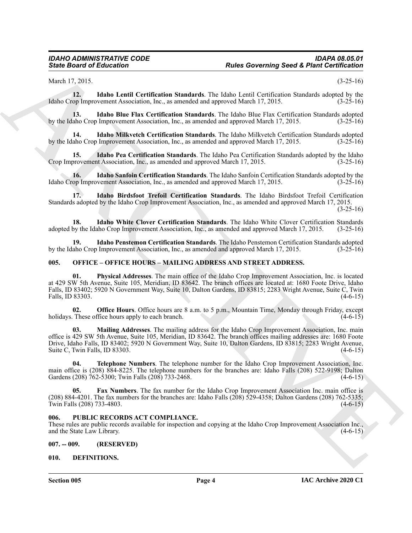<span id="page-3-7"></span>March 17, 2015. (3-25-16)

**12. Idaho Lentil Certification Standards**. The Idaho Lentil Certification Standards adopted by the Idaho Crop Improvement Association, Inc., as amended and approved March 17, 2015.

<span id="page-3-6"></span>**13. Idaho Blue Flax Certification Standards**. The Idaho Blue Flax Certification Standards adopted by the Idaho Crop Improvement Association, Inc., as amended and approved March 17, 2015.

<span id="page-3-8"></span>**14. Idaho Milkvetch Certification Standards**. The Idaho Milkvetch Certification Standards adopted by the Idaho Crop Improvement Association, Inc., as amended and approved March 17, 2015. (3-25-16)

<span id="page-3-9"></span>**15. Idaho Pea Certification Standards**. The Idaho Pea Certification Standards adopted by the Idaho provement Association, Inc., as amended and approved March 17, 2015. Crop Improvement Association, Inc., as amended and approved March 17, 2015.

<span id="page-3-11"></span>**16. Idaho Sanfoin Certification Standards**. The Idaho Sanfoin Certification Standards adopted by the Idaho Crop Improvement Association, Inc., as amended and approved March 17, 2015.

<span id="page-3-5"></span>**17. Idaho Birdsfoot Trefoil Certification Standards**. The Idaho Birdsfoot Trefoil Certification Standards adopted by the Idaho Crop Improvement Association, Inc., as amended and approved March 17, 2015. (3-25-16)

<span id="page-3-12"></span>18. **Idaho White Clover Certification Standards**. The Idaho White Clover Certification Standards by the Idaho Crop Improvement Association, Inc., as amended and approved March 17, 2015. (3-25-16) adopted by the Idaho Crop Improvement Association, Inc., as amended and approved March 17, 2015.

<span id="page-3-10"></span>**19. Idaho Penstemon Certification Standards**. The Idaho Penstemon Certification Standards adopted by the Idaho Crop Improvement Association, Inc., as amended and approved March 17, 2015.

#### <span id="page-3-13"></span><span id="page-3-0"></span>**005. OFFICE – OFFICE HOURS – MAILING ADDRESS AND STREET ADDRESS.**

Since Board of Education<br>
Neutral Neutral Certification Semantary. The Islam Georgia Secold Philade Confederation<br>
And Certification Seconds and Certification Semantary. The Islam Certification Semantary of the Education **01. Physical Addresses**. The main office of the Idaho Crop Improvement Association, Inc. is located at 429 SW 5th Avenue, Suite 105, Meridian, ID 83642. The branch offices are located at: 1680 Foote Drive, Idaho Falls, ID 83402; 5920 N Government Way, Suite 10, Dalton Gardens, ID 83815; 2283 Wright Avenue, Suite C, Twin Falls, ID 83303. (4-6-15)

**02. Office Hours**. Office hours are 8 a.m. to 5 p.m., Mountain Time, Monday through Friday, except These office hours apply to each branch. (4-6-15) holidays. These office hours apply to each branch.

**03. Mailing Addresses**. The mailing address for the Idaho Crop Improvement Association, Inc. main office is 429 SW 5th Avenue, Suite 105, Meridian, ID 83642. The branch offices mailing addresses are: 1680 Foote Drive, Idaho Falls, ID 83402; 5920 N Government Way, Suite 10, Dalton Gardens, ID 83815; 2283 Wright Avenue, Suite C, Twin Falls, ID 83303. (4-6-15)

**04. Telephone Numbers**. The telephone number for the Idaho Crop Improvement Association, Inc. main office is (208) 884-8225. The telephone numbers for the branches are: Idaho Falls (208) 522-9198; Dalton<br>Gardens (208) 762-5300; Twin Falls (208) 733-2468. (4-6-15) Gardens (208) 762-5300; Twin Falls (208) 733-2468.

**05. Fax Numbers**. The fax number for the Idaho Crop Improvement Association Inc. main office is (208) 884-4201. The fax numbers for the branches are: Idaho Falls (208)  $\overline{5}29$ -4358; Dalton Gardens (208) 762-5335; Twin Falls (208) 733-4803. (4-6-15) Twin Falls (208) 733-4803.

#### <span id="page-3-14"></span><span id="page-3-1"></span>**006. PUBLIC RECORDS ACT COMPLIANCE.**

These rules are public records available for inspection and copying at the Idaho Crop Improvement Association Inc., and the State Law Library. (4-6-15) (4-6-15)

<span id="page-3-2"></span>**007. -- 009. (RESERVED)**

#### <span id="page-3-4"></span><span id="page-3-3"></span>**010. DEFINITIONS.**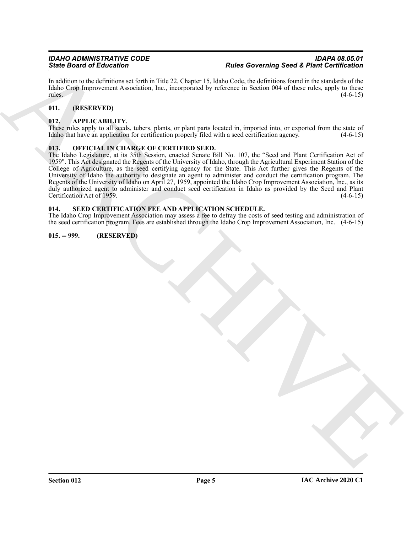In addition to the definitions set forth in Title 22, Chapter 15, Idaho Code, the definitions found in the standards of the Idaho Crop Improvement Association, Inc., incorporated by reference in Section 004 of these rules, apply to these rules. (4-6-15)  $r = (4-6-15)$ 

#### <span id="page-4-0"></span>**011. (RESERVED)**

#### <span id="page-4-5"></span><span id="page-4-1"></span>**012. APPLICABILITY.**

These rules apply to all seeds, tubers, plants, or plant parts located in, imported into, or exported from the state of Idaho that have an application for certification properly filed with a seed certification agency. (4-6-15)

#### <span id="page-4-6"></span><span id="page-4-2"></span>**013. OFFICIAL IN CHARGE OF CERTIFIED SEED.**

Since Brain of Education  $\alpha$  and the state of the SC (see the SC (see the SC (see the SC (see the SC (see the SC (see the SC (see the SC (see the SC (see the SC (see the SC (see the SC (see the SC (see the SC (see the SC The Idaho Legislature, at its 35th Session, enacted Senate Bill No. 107, the "Seed and Plant Certification Act of 1959". This Act designated the Regents of the University of Idaho, through the Agricultural Experiment Station of the College of Agriculture, as the seed certifying agency for the State. This Act further gives the Regents of the University of Idaho the authority to designate an agent to administer and conduct the certification program. The Regents of the University of Idaho on April 27, 1959, appointed the Idaho Crop Improvement Association, Inc., as its duly authorized agent to administer and conduct seed certification in Idaho as provided by the Seed and Plant Certification Act of 1959. Certification Act of 1959.

#### <span id="page-4-7"></span><span id="page-4-3"></span>**014. SEED CERTIFICATION FEE AND APPLICATION SCHEDULE.**

The Idaho Crop Improvement Association may assess a fee to defray the costs of seed testing and administration of the seed certification program. Fees are established through the Idaho Crop Improvement Association, Inc. (4-6-15)

#### <span id="page-4-4"></span>**015. -- 999. (RESERVED)**